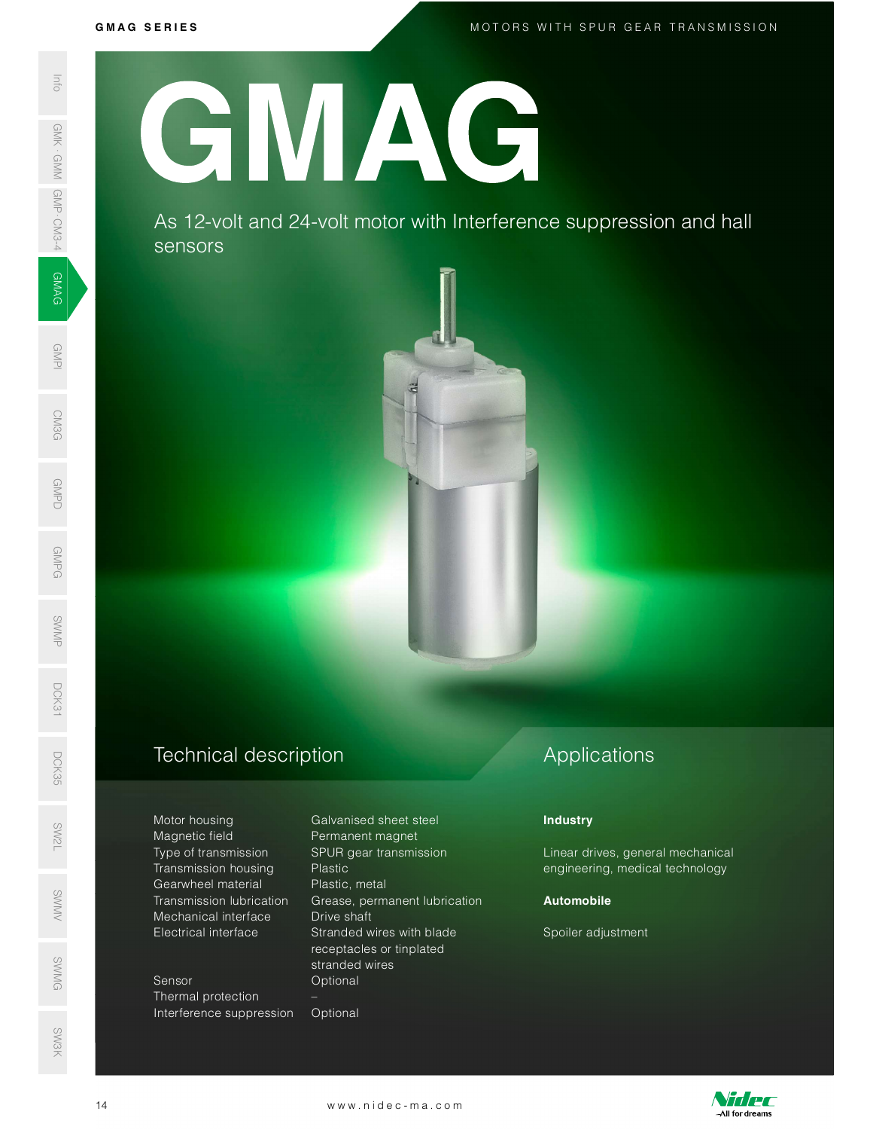GMPD<br>Demokratik<br>Demokratik

GMPG

SWMP

DCK31

MOTORS WITH SPUR GEAR TRANSMISSION<br>MOTORS WITH SPUR GEAR TRANSMISSION

GMPI

**CM3G** 

G M A G S E R I E S SWAS 12-VC<br>
SERIES AS 12-VC<br>
SERIES AS 12-VC<br>
SERIES AS 12-VC<br>
SERIES AS 12-VC<br>
SERIES AS 12-VC<br>
SERIES AS 12-VC<br>
SERIES AS 16-1<br>
Transmission<br>
Gearwheel manifestation<br>
Mechanical interference s<br>
Series Thermal prote<br>
Inte GMAG

As 12-volt and 24-volt motor with Interference suppression and hall sensors



Type of transmission SPUR gear transmission Transmission housing Plastic Gearwheel material Plastic, metal ©<br>
Transmission lubrication Grease, permanent lu<br>
Mechanical interface Drive shaft Motor nousing<br>
Magnetic field<br>
Type of transm

Sensor **Optional** Thermal protection – Interference suppression Optional SWMG

Motor housing Galvanised sheet steel Permanent magnet Transmission lubrication Grease, permanent lubrication Electrical interface Stranded wires with blade receptacles or tinplated stranded wires Electrical interface Stranded wires with blade spoiler adjustment<br>
receptacles or tinplated<br>
stranded wires<br>
Sensor Deptional<br>
-<br>
Interference suppression Optional<br>
14 www.nidec-ma.com

## Applications

### **Industry**

Linear drives, general mechanical engineering, medical technology

### Automobile

Spoiler adjustment



SW3K